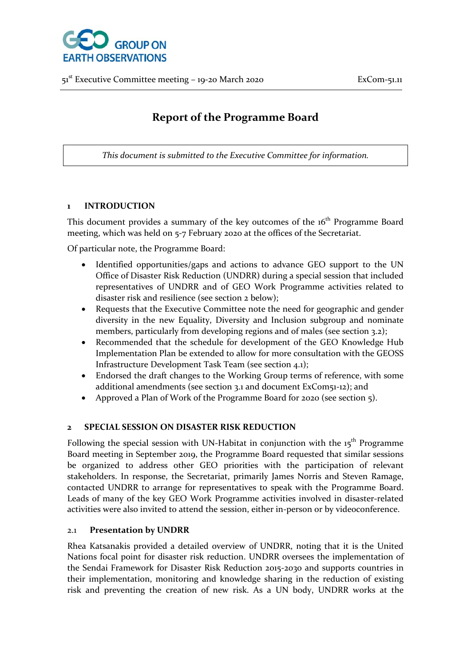

# **Report of the Programme Board**

*This document is submitted to the Executive Committee for information.*

### **1 INTRODUCTION**

This document provides a summary of the key outcomes of the 16<sup>th</sup> Programme Board meeting, which was held on 5-7 February 2020 at the offices of the Secretariat.

Of particular note, the Programme Board:

- Identified opportunities/gaps and actions to advance GEO support to the UN Office of Disaster Risk Reduction (UNDRR) during a special session that included representatives of UNDRR and of GEO Work Programme activities related to disaster risk and resilience (see section 2 below);
- Requests that the Executive Committee note the need for geographic and gender diversity in the new Equality, Diversity and Inclusion subgroup and nominate members, particularly from developing regions and of males (see section 3.2);
- Recommended that the schedule for development of the GEO Knowledge Hub Implementation Plan be extended to allow for more consultation with the GEOSS Infrastructure Development Task Team (see section 4.1);
- Endorsed the draft changes to the Working Group terms of reference, with some additional amendments (see section 3.1 and document ExCom51-12); and
- Approved a Plan of Work of the Programme Board for 2020 (see section 5).

#### **2 SPECIAL SESSION ON DISASTER RISK REDUCTION**

Following the special session with UN-Habitat in conjunction with the  $15<sup>th</sup>$  Programme Board meeting in September 2019, the Programme Board requested that similar sessions be organized to address other GEO priorities with the participation of relevant stakeholders. In response, the Secretariat, primarily James Norris and Steven Ramage, contacted UNDRR to arrange for representatives to speak with the Programme Board. Leads of many of the key GEO Work Programme activities involved in disaster-related activities were also invited to attend the session, either in-person or by videoconference.

#### 2.1 **Presentation by UNDRR**

Rhea Katsanakis provided a detailed overview of UNDRR, noting that it is the United Nations focal point for disaster risk reduction. UNDRR oversees the implementation of the Sendai Framework for Disaster Risk Reduction 2015-2030 and supports countries in their implementation, monitoring and knowledge sharing in the reduction of existing risk and preventing the creation of new risk. As a UN body, UNDRR works at the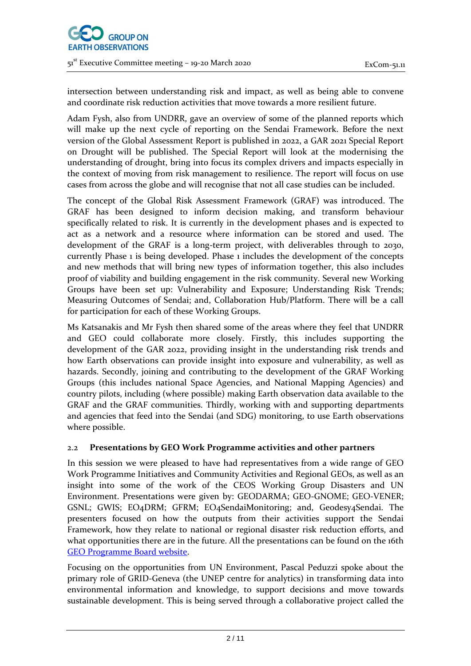

intersection between understanding risk and impact, as well as being able to convene and coordinate risk reduction activities that move towards a more resilient future.

Adam Fysh, also from UNDRR, gave an overview of some of the planned reports which will make up the next cycle of reporting on the Sendai Framework. Before the next version of the Global Assessment Report is published in 2022, a GAR 2021 Special Report on Drought will be published. The Special Report will look at the modernising the understanding of drought, bring into focus its complex drivers and impacts especially in the context of moving from risk management to resilience. The report will focus on use cases from across the globe and will recognise that not all case studies can be included.

The concept of the Global Risk Assessment Framework (GRAF) was introduced. The GRAF has been designed to inform decision making, and transform behaviour specifically related to risk. It is currently in the development phases and is expected to act as a network and a resource where information can be stored and used. The development of the GRAF is a long-term project, with deliverables through to 2030, currently Phase 1 is being developed. Phase 1 includes the development of the concepts and new methods that will bring new types of information together, this also includes proof of viability and building engagement in the risk community. Several new Working Groups have been set up: Vulnerability and Exposure; Understanding Risk Trends; Measuring Outcomes of Sendai; and, Collaboration Hub/Platform. There will be a call for participation for each of these Working Groups.

Ms Katsanakis and Mr Fysh then shared some of the areas where they feel that UNDRR and GEO could collaborate more closely. Firstly, this includes supporting the development of the GAR 2022, providing insight in the understanding risk trends and how Earth observations can provide insight into exposure and vulnerability, as well as hazards. Secondly, joining and contributing to the development of the GRAF Working Groups (this includes national Space Agencies, and National Mapping Agencies) and country pilots, including (where possible) making Earth observation data available to the GRAF and the GRAF communities. Thirdly, working with and supporting departments and agencies that feed into the Sendai (and SDG) monitoring, to use Earth observations where possible.

# 2.2 **Presentations by GEO Work Programme activities and other partners**

In this session we were pleased to have had representatives from a wide range of GEO Work Programme Initiatives and Community Activities and Regional GEOs, as well as an insight into some of the work of the CEOS Working Group Disasters and UN Environment. Presentations were given by: GEODARMA; GEO-GNOME; GEO-VENER; GSNL; GWIS; EO4DRM; GFRM; EO4SendaiMonitoring; and, Geodesy4Sendai. The presenters focused on how the outputs from their activities support the Sendai Framework, how they relate to national or regional disaster risk reduction efforts, and what opportunities there are in the future. All the presentations can be found on the 16th [GEO Programme Board website.](http://www.earthobservations.org/geo_pb.php%23pb_016)

Focusing on the opportunities from UN Environment, Pascal Peduzzi spoke about the primary role of GRID-Geneva (the UNEP centre for analytics) in transforming data into environmental information and knowledge, to support decisions and move towards sustainable development. This is being served through a collaborative project called the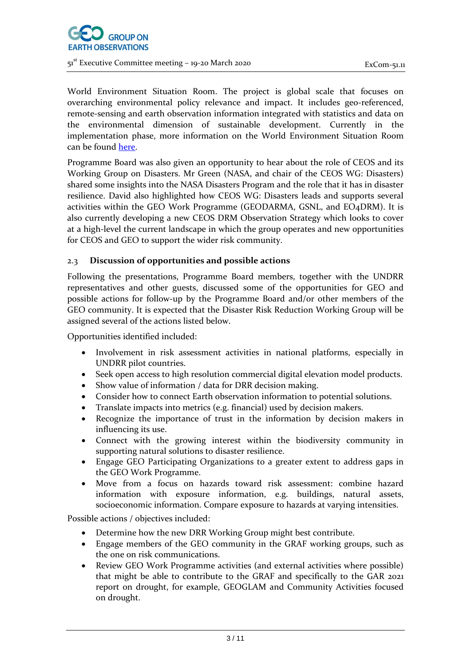

World Environment Situation Room. The project is global scale that focuses on overarching environmental policy relevance and impact. It includes geo-referenced, remote-sensing and earth observation information integrated with statistics and data on the environmental dimension of sustainable development. Currently in the implementation phase, more information on the World Environment Situation Room can be foun[d here.](http://wesr.unep.org/wesr/)

Programme Board was also given an opportunity to hear about the role of CEOS and its Working Group on Disasters. Mr Green (NASA, and chair of the CEOS WG: Disasters) shared some insights into the NASA Disasters Program and the role that it has in disaster resilience. David also highlighted how CEOS WG: Disasters leads and supports several activities within the GEO Work Programme (GEODARMA, GSNL, and EO4DRM). It is also currently developing a new CEOS DRM Observation Strategy which looks to cover at a high-level the current landscape in which the group operates and new opportunities for CEOS and GEO to support the wider risk community.

# 2.3 **Discussion of opportunities and possible actions**

Following the presentations, Programme Board members, together with the UNDRR representatives and other guests, discussed some of the opportunities for GEO and possible actions for follow-up by the Programme Board and/or other members of the GEO community. It is expected that the Disaster Risk Reduction Working Group will be assigned several of the actions listed below.

Opportunities identified included:

- Involvement in risk assessment activities in national platforms, especially in UNDRR pilot countries.
- Seek open access to high resolution commercial digital elevation model products.
- Show value of information / data for DRR decision making.
- Consider how to connect Earth observation information to potential solutions.
- Translate impacts into metrics (e.g. financial) used by decision makers.
- Recognize the importance of trust in the information by decision makers in influencing its use.
- Connect with the growing interest within the biodiversity community in supporting natural solutions to disaster resilience.
- Engage GEO Participating Organizations to a greater extent to address gaps in the GEO Work Programme.
- Move from a focus on hazards toward risk assessment: combine hazard information with exposure information, e.g. buildings, natural assets, socioeconomic information. Compare exposure to hazards at varying intensities.

Possible actions / objectives included:

- Determine how the new DRR Working Group might best contribute.
- Engage members of the GEO community in the GRAF working groups, such as the one on risk communications.
- Review GEO Work Programme activities (and external activities where possible) that might be able to contribute to the GRAF and specifically to the GAR 2021 report on drought, for example, GEOGLAM and Community Activities focused on drought.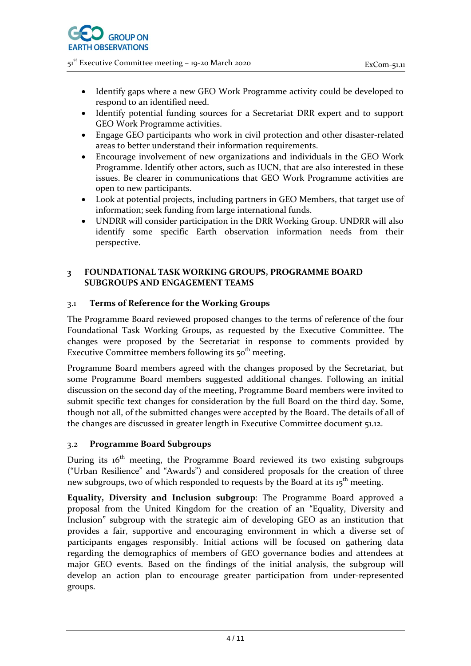- Identify gaps where a new GEO Work Programme activity could be developed to respond to an identified need.
- Identify potential funding sources for a Secretariat DRR expert and to support GEO Work Programme activities.
- Engage GEO participants who work in civil protection and other disaster-related areas to better understand their information requirements.
- Encourage involvement of new organizations and individuals in the GEO Work Programme. Identify other actors, such as IUCN, that are also interested in these issues. Be clearer in communications that GEO Work Programme activities are open to new participants.
- Look at potential projects, including partners in GEO Members, that target use of information; seek funding from large international funds.
- UNDRR will consider participation in the DRR Working Group. UNDRR will also identify some specific Earth observation information needs from their perspective.

#### **3 FOUNDATIONAL TASK WORKING GROUPS, PROGRAMME BOARD SUBGROUPS AND ENGAGEMENT TEAMS**

### 3.1 **Terms of Reference for the Working Groups**

The Programme Board reviewed proposed changes to the terms of reference of the four Foundational Task Working Groups, as requested by the Executive Committee. The changes were proposed by the Secretariat in response to comments provided by Executive Committee members following its  $50<sup>th</sup>$  meeting.

Programme Board members agreed with the changes proposed by the Secretariat, but some Programme Board members suggested additional changes. Following an initial discussion on the second day of the meeting, Programme Board members were invited to submit specific text changes for consideration by the full Board on the third day. Some, though not all, of the submitted changes were accepted by the Board. The details of all of the changes are discussed in greater length in Executive Committee document 51.12.

#### 3.2 **Programme Board Subgroups**

During its  $16<sup>th</sup>$  meeting, the Programme Board reviewed its two existing subgroups ("Urban Resilience" and "Awards") and considered proposals for the creation of three new subgroups, two of which responded to requests by the Board at its 15<sup>th</sup> meeting.

**Equality, Diversity and Inclusion subgroup**: The Programme Board approved a proposal from the United Kingdom for the creation of an "Equality, Diversity and Inclusion" subgroup with the strategic aim of developing GEO as an institution that provides a fair, supportive and encouraging environment in which a diverse set of participants engages responsibly. Initial actions will be focused on gathering data regarding the demographics of members of GEO governance bodies and attendees at major GEO events. Based on the findings of the initial analysis, the subgroup will develop an action plan to encourage greater participation from under-represented groups.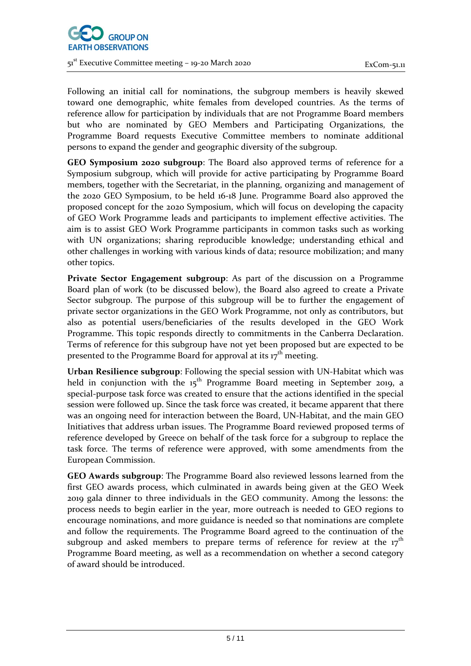

Following an initial call for nominations, the subgroup members is heavily skewed toward one demographic, white females from developed countries. As the terms of reference allow for participation by individuals that are not Programme Board members but who are nominated by GEO Members and Participating Organizations, the Programme Board requests Executive Committee members to nominate additional persons to expand the gender and geographic diversity of the subgroup.

**GEO Symposium 2020 subgroup**: The Board also approved terms of reference for a Symposium subgroup, which will provide for active participating by Programme Board members, together with the Secretariat, in the planning, organizing and management of the 2020 GEO Symposium, to be held 16-18 June. Programme Board also approved the proposed concept for the 2020 Symposium, which will focus on developing the capacity of GEO Work Programme leads and participants to implement effective activities. The aim is to assist GEO Work Programme participants in common tasks such as working with UN organizations; sharing reproducible knowledge; understanding ethical and other challenges in working with various kinds of data; resource mobilization; and many other topics.

**Private Sector Engagement subgroup**: As part of the discussion on a Programme Board plan of work (to be discussed below), the Board also agreed to create a Private Sector subgroup. The purpose of this subgroup will be to further the engagement of private sector organizations in the GEO Work Programme, not only as contributors, but also as potential users/beneficiaries of the results developed in the GEO Work Programme. This topic responds directly to commitments in the Canberra Declaration. Terms of reference for this subgroup have not yet been proposed but are expected to be presented to the Programme Board for approval at its  $17<sup>th</sup>$  meeting.

**Urban Resilience subgroup**: Following the special session with UN-Habitat which was held in conjunction with the  $15<sup>th</sup>$  Programme Board meeting in September 2019, a special-purpose task force was created to ensure that the actions identified in the special session were followed up. Since the task force was created, it became apparent that there was an ongoing need for interaction between the Board, UN-Habitat, and the main GEO Initiatives that address urban issues. The Programme Board reviewed proposed terms of reference developed by Greece on behalf of the task force for a subgroup to replace the task force. The terms of reference were approved, with some amendments from the European Commission.

**GEO Awards subgroup**: The Programme Board also reviewed lessons learned from the first GEO awards process, which culminated in awards being given at the GEO Week 2019 gala dinner to three individuals in the GEO community. Among the lessons: the process needs to begin earlier in the year, more outreach is needed to GEO regions to encourage nominations, and more guidance is needed so that nominations are complete and follow the requirements. The Programme Board agreed to the continuation of the subgroup and asked members to prepare terms of reference for review at the  $17<sup>th</sup>$ Programme Board meeting, as well as a recommendation on whether a second category of award should be introduced.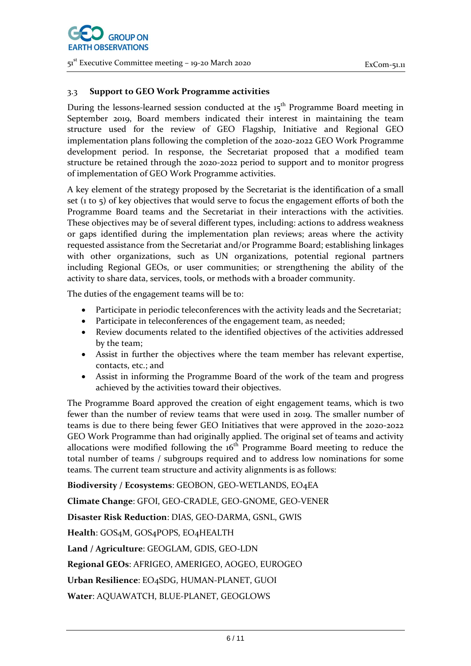

#### 3.3 **Support to GEO Work Programme activities**

During the lessons-learned session conducted at the  $15<sup>th</sup>$  Programme Board meeting in September 2019, Board members indicated their interest in maintaining the team structure used for the review of GEO Flagship, Initiative and Regional GEO implementation plans following the completion of the 2020-2022 GEO Work Programme development period. In response, the Secretariat proposed that a modified team structure be retained through the 2020-2022 period to support and to monitor progress of implementation of GEO Work Programme activities.

A key element of the strategy proposed by the Secretariat is the identification of a small set ( $\frac{1}{10}$  to  $\frac{1}{2}$ ) of key objectives that would serve to focus the engagement efforts of both the Programme Board teams and the Secretariat in their interactions with the activities. These objectives may be of several different types, including: actions to address weakness or gaps identified during the implementation plan reviews; areas where the activity requested assistance from the Secretariat and/or Programme Board; establishing linkages with other organizations, such as UN organizations, potential regional partners including Regional GEOs, or user communities; or strengthening the ability of the activity to share data, services, tools, or methods with a broader community.

The duties of the engagement teams will be to:

- Participate in periodic teleconferences with the activity leads and the Secretariat;
- Participate in teleconferences of the engagement team, as needed;
- Review documents related to the identified objectives of the activities addressed by the team;
- Assist in further the objectives where the team member has relevant expertise, contacts, etc.; and
- Assist in informing the Programme Board of the work of the team and progress achieved by the activities toward their objectives.

The Programme Board approved the creation of eight engagement teams, which is two fewer than the number of review teams that were used in 2019. The smaller number of teams is due to there being fewer GEO Initiatives that were approved in the 2020-2022 GEO Work Programme than had originally applied. The original set of teams and activity allocations were modified following the  $16<sup>th</sup>$  Programme Board meeting to reduce the total number of teams / subgroups required and to address low nominations for some teams. The current team structure and activity alignments is as follows:

**Biodiversity / Ecosystems**: GEOBON, GEO-WETLANDS, EO4EA

**Climate Change**: GFOI, GEO-CRADLE, GEO-GNOME, GEO-VENER

**Disaster Risk Reduction**: DIAS, GEO-DARMA, GSNL, GWIS

**Health**: GOS4M, GOS4POPS, EO4HEALTH

**Land / Agriculture**: GEOGLAM, GDIS, GEO-LDN

**Regional GEOs**: AFRIGEO, AMERIGEO, AOGEO, EUROGEO

**Urban Resilience**: EO4SDG, HUMAN-PLANET, GUOI

**Water**: AQUAWATCH, BLUE-PLANET, GEOGLOWS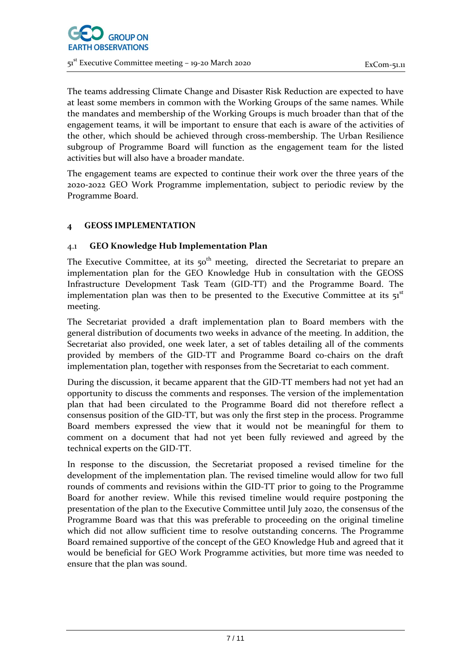

The teams addressing Climate Change and Disaster Risk Reduction are expected to have at least some members in common with the Working Groups of the same names. While the mandates and membership of the Working Groups is much broader than that of the engagement teams, it will be important to ensure that each is aware of the activities of the other, which should be achieved through cross-membership. The Urban Resilience subgroup of Programme Board will function as the engagement team for the listed activities but will also have a broader mandate.

The engagement teams are expected to continue their work over the three years of the 2020-2022 GEO Work Programme implementation, subject to periodic review by the Programme Board.

# **4 GEOSS IMPLEMENTATION**

### 4.1 **GEO Knowledge Hub Implementation Plan**

The Executive Committee, at its  $50<sup>th</sup>$  meeting, directed the Secretariat to prepare an implementation plan for the GEO Knowledge Hub in consultation with the GEOSS Infrastructure Development Task Team (GID-TT) and the Programme Board. The implementation plan was then to be presented to the Executive Committee at its  $51<sup>st</sup>$ meeting.

The Secretariat provided a draft implementation plan to Board members with the general distribution of documents two weeks in advance of the meeting. In addition, the Secretariat also provided, one week later, a set of tables detailing all of the comments provided by members of the GID-TT and Programme Board co-chairs on the draft implementation plan, together with responses from the Secretariat to each comment.

During the discussion, it became apparent that the GID-TT members had not yet had an opportunity to discuss the comments and responses. The version of the implementation plan that had been circulated to the Programme Board did not therefore reflect a consensus position of the GID-TT, but was only the first step in the process. Programme Board members expressed the view that it would not be meaningful for them to comment on a document that had not yet been fully reviewed and agreed by the technical experts on the GID-TT.

In response to the discussion, the Secretariat proposed a revised timeline for the development of the implementation plan. The revised timeline would allow for two full rounds of comments and revisions within the GID-TT prior to going to the Programme Board for another review. While this revised timeline would require postponing the presentation of the plan to the Executive Committee until July 2020, the consensus of the Programme Board was that this was preferable to proceeding on the original timeline which did not allow sufficient time to resolve outstanding concerns. The Programme Board remained supportive of the concept of the GEO Knowledge Hub and agreed that it would be beneficial for GEO Work Programme activities, but more time was needed to ensure that the plan was sound.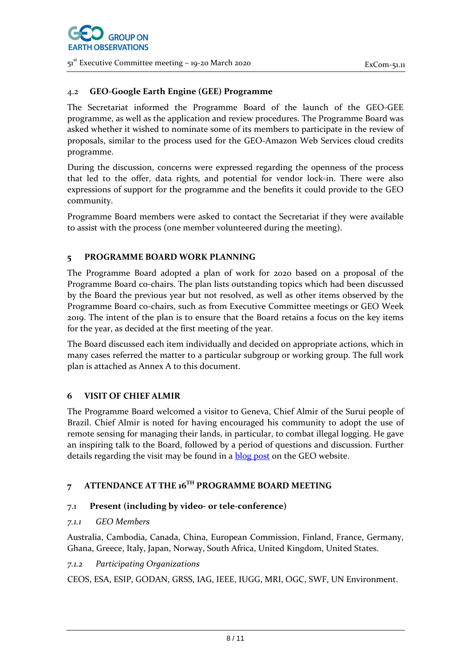## 4.2 **GEO-Google Earth Engine (GEE) Programme**

The Secretariat informed the Programme Board of the launch of the GEO-GEE programme, as well as the application and review procedures. The Programme Board was asked whether it wished to nominate some of its members to participate in the review of proposals, similar to the process used for the GEO-Amazon Web Services cloud credits programme.

During the discussion, concerns were expressed regarding the openness of the process that led to the offer, data rights, and potential for vendor lock-in. There were also expressions of support for the programme and the benefits it could provide to the GEO community.

Programme Board members were asked to contact the Secretariat if they were available to assist with the process (one member volunteered during the meeting).

### **5 PROGRAMME BOARD WORK PLANNING**

The Programme Board adopted a plan of work for 2020 based on a proposal of the Programme Board co-chairs. The plan lists outstanding topics which had been discussed by the Board the previous year but not resolved, as well as other items observed by the Programme Board co-chairs, such as from Executive Committee meetings or GEO Week 2019. The intent of the plan is to ensure that the Board retains a focus on the key items for the year, as decided at the first meeting of the year.

The Board discussed each item individually and decided on appropriate actions, which in many cases referred the matter to a particular subgroup or working group. The full work plan is attached as Annex A to this document.

#### **6 VISIT OF CHIEF ALMIR**

The Programme Board welcomed a visitor to Geneva, Chief Almir of the Surui people of Brazil. Chief Almir is noted for having encouraged his community to adopt the use of remote sensing for managing their lands, in particular, to combat illegal logging. He gave an inspiring talk to the Board, followed by a period of questions and discussion. Further details regarding the visit may be found in a **blog post** on the GEO website.

# **7 ATTENDANCE AT THE 16TH PROGRAMME BOARD MEETING**

# 7.1 **Present (including by video- or tele-conference)**

#### *7.1.1 GEO Members*

Australia, Cambodia, Canada, China, European Commission, Finland, France, Germany, Ghana, Greece, Italy, Japan, Norway, South Africa, United Kingdom, United States.

#### *7.1.2 Participating Organizations*

CEOS, ESA, ESIP, GODAN, GRSS, IAG, IEEE, IUGG, MRI, OGC, SWF, UN Environment.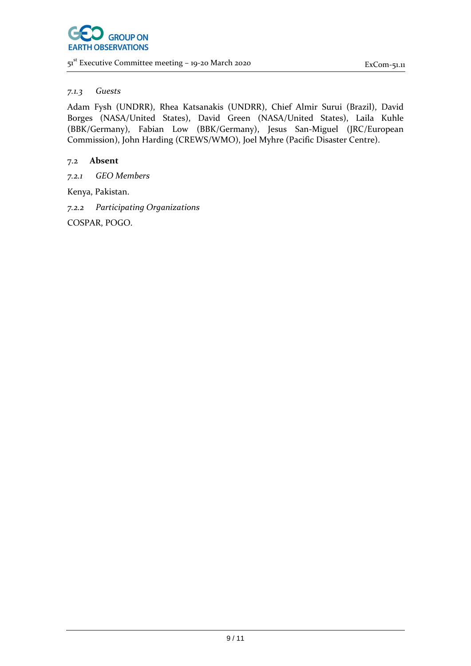#### *7.1.3 Guests*

Adam Fysh (UNDRR), Rhea Katsanakis (UNDRR), Chief Almir Surui (Brazil), David Borges (NASA/United States), David Green (NASA/United States), Laila Kuhle (BBK/Germany), Fabian Low (BBK/Germany), Jesus San-Miguel (JRC/European Commission), John Harding (CREWS/WMO), Joel Myhre (Pacific Disaster Centre).

# 7.2 **Absent**

*7.2.1 GEO Members*

Kenya, Pakistan.

*7.2.2 Participating Organizations*

COSPAR, POGO.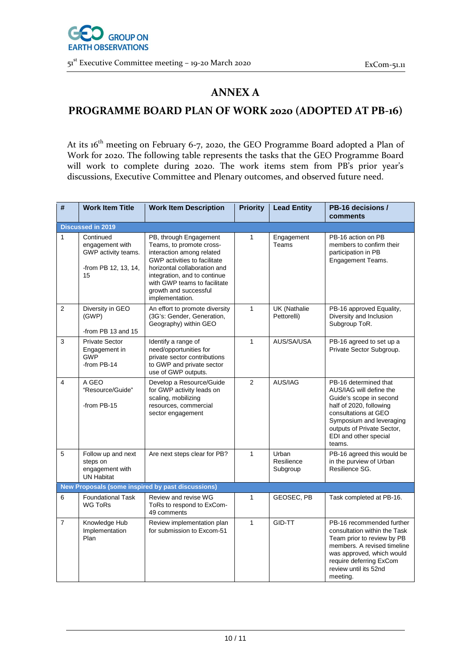

# **ANNEX A**

# **PROGRAMME BOARD PLAN OF WORK 2020 (ADOPTED AT PB-16)**

At its 16<sup>th</sup> meeting on February 6-7, 2020, the GEO Programme Board adopted a Plan of Work for 2020. The following table represents the tasks that the GEO Programme Board will work to complete during 2020. The work items stem from PB's prior year's discussions, Executive Committee and Plenary outcomes, and observed future need.

| #                        | <b>Work Item Title</b>                                                            | <b>Work Item Description</b>                                                                                                                                                                                                                                | <b>Priority</b> | <b>Lead Entity</b>              | PB-16 decisions /<br>comments                                                                                                                                                                                               |  |  |  |  |
|--------------------------|-----------------------------------------------------------------------------------|-------------------------------------------------------------------------------------------------------------------------------------------------------------------------------------------------------------------------------------------------------------|-----------------|---------------------------------|-----------------------------------------------------------------------------------------------------------------------------------------------------------------------------------------------------------------------------|--|--|--|--|
| <b>Discussed in 2019</b> |                                                                                   |                                                                                                                                                                                                                                                             |                 |                                 |                                                                                                                                                                                                                             |  |  |  |  |
| $\mathbf{1}$             | Continued<br>engagement with<br>GWP activity teams.<br>-from PB 12, 13, 14,<br>15 | PB, through Engagement<br>Teams, to promote cross-<br>interaction among related<br>GWP activities to facilitate<br>horizontal collaboration and<br>integration, and to continue<br>with GWP teams to facilitate<br>growth and successful<br>implementation. | $\mathbf{1}$    | Engagement<br>Teams             | PB-16 action on PB<br>members to confirm their<br>participation in PB<br>Engagement Teams.                                                                                                                                  |  |  |  |  |
| 2                        | Diversity in GEO<br>(GWP)<br>-from PB 13 and 15                                   | An effort to promote diversity<br>(3G's: Gender, Generation,<br>Geography) within GEO                                                                                                                                                                       | $\mathbf{1}$    | UK (Nathalie<br>Pettorelli)     | PB-16 approved Equality,<br>Diversity and Inclusion<br>Subgroup ToR.                                                                                                                                                        |  |  |  |  |
| 3                        | <b>Private Sector</b><br>Engagement in<br><b>GWP</b><br>-from PB-14               | Identify a range of<br>need/opportunities for<br>private sector contributions<br>to GWP and private sector<br>use of GWP outputs.                                                                                                                           | $\mathbf{1}$    | AUS/SA/USA                      | PB-16 agreed to set up a<br>Private Sector Subgroup.                                                                                                                                                                        |  |  |  |  |
| $\overline{4}$           | A GEO<br>"Resource/Guide"<br>-from PB-15                                          | Develop a Resource/Guide<br>for GWP activity leads on<br>scaling, mobilizing<br>resources, commercial<br>sector engagement                                                                                                                                  | $\overline{2}$  | AUS/IAG                         | PB-16 determined that<br>AUS/IAG will define the<br>Guide's scope in second<br>half of 2020, following<br>consultations at GEO<br>Symposium and leveraging<br>outputs of Private Sector,<br>EDI and other special<br>teams. |  |  |  |  |
| 5                        | Follow up and next<br>steps on<br>engagement with<br><b>UN Habitat</b>            | Are next steps clear for PB?                                                                                                                                                                                                                                | $\mathbf{1}$    | Urban<br>Resilience<br>Subgroup | PB-16 agreed this would be<br>in the purview of Urban<br>Resilience SG.                                                                                                                                                     |  |  |  |  |
|                          |                                                                                   | New Proposals (some inspired by past discussions)                                                                                                                                                                                                           |                 |                                 |                                                                                                                                                                                                                             |  |  |  |  |
| 6                        | <b>Foundational Task</b><br><b>WG ToRs</b>                                        | Review and revise WG<br>ToRs to respond to ExCom-<br>49 comments                                                                                                                                                                                            | 1               | GEOSEC, PB                      | Task completed at PB-16.                                                                                                                                                                                                    |  |  |  |  |
| $\overline{7}$           | Knowledge Hub<br>Implementation<br>Plan                                           | Review implementation plan<br>for submission to Excom-51                                                                                                                                                                                                    | $\mathbf{1}$    | GID-TT                          | PB-16 recommended further<br>consultation within the Task<br>Team prior to review by PB<br>members. A revised timeline<br>was approved, which would<br>require deferring ExCom<br>review until its 52nd<br>meeting.         |  |  |  |  |